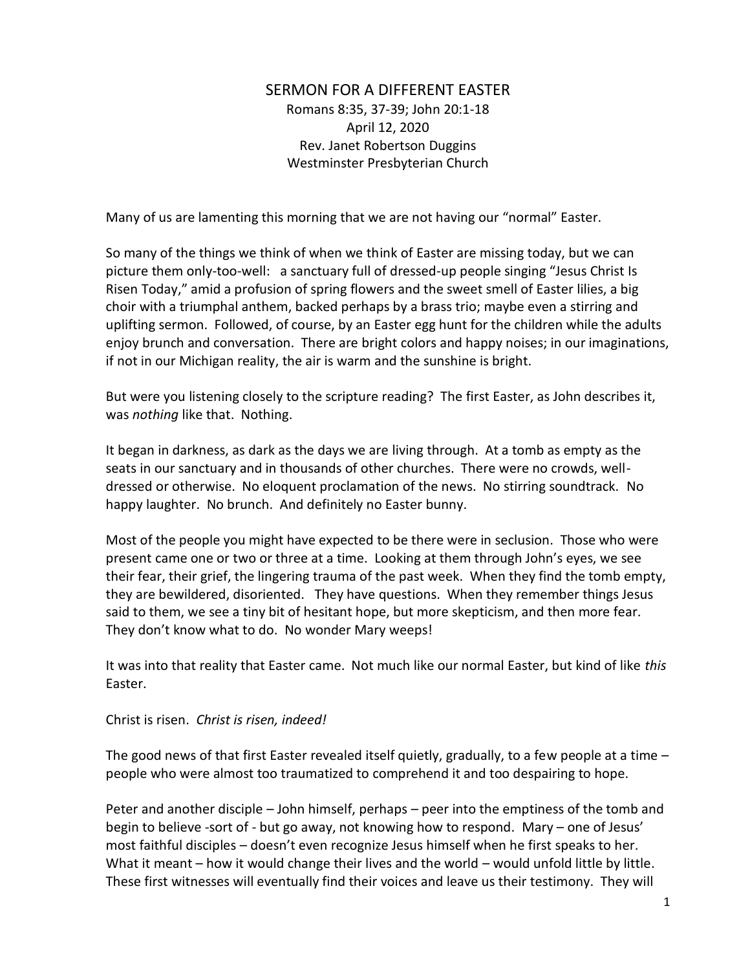## SERMON FOR A DIFFERENT EASTER Romans 8:35, 37-39; John 20:1-18 April 12, 2020 Rev. Janet Robertson Duggins Westminster Presbyterian Church

Many of us are lamenting this morning that we are not having our "normal" Easter.

So many of the things we think of when we think of Easter are missing today, but we can picture them only-too-well: a sanctuary full of dressed-up people singing "Jesus Christ Is Risen Today," amid a profusion of spring flowers and the sweet smell of Easter lilies, a big choir with a triumphal anthem, backed perhaps by a brass trio; maybe even a stirring and uplifting sermon. Followed, of course, by an Easter egg hunt for the children while the adults enjoy brunch and conversation. There are bright colors and happy noises; in our imaginations, if not in our Michigan reality, the air is warm and the sunshine is bright.

But were you listening closely to the scripture reading? The first Easter, as John describes it, was *nothing* like that. Nothing.

It began in darkness, as dark as the days we are living through. At a tomb as empty as the seats in our sanctuary and in thousands of other churches. There were no crowds, welldressed or otherwise. No eloquent proclamation of the news. No stirring soundtrack. No happy laughter. No brunch. And definitely no Easter bunny.

Most of the people you might have expected to be there were in seclusion. Those who were present came one or two or three at a time. Looking at them through John's eyes, we see their fear, their grief, the lingering trauma of the past week. When they find the tomb empty, they are bewildered, disoriented. They have questions. When they remember things Jesus said to them, we see a tiny bit of hesitant hope, but more skepticism, and then more fear. They don't know what to do. No wonder Mary weeps!

It was into that reality that Easter came. Not much like our normal Easter, but kind of like *this* Easter.

## Christ is risen. *Christ is risen, indeed!*

The good news of that first Easter revealed itself quietly, gradually, to a few people at a time – people who were almost too traumatized to comprehend it and too despairing to hope.

Peter and another disciple – John himself, perhaps – peer into the emptiness of the tomb and begin to believe -sort of - but go away, not knowing how to respond. Mary – one of Jesus' most faithful disciples – doesn't even recognize Jesus himself when he first speaks to her. What it meant – how it would change their lives and the world – would unfold little by little. These first witnesses will eventually find their voices and leave us their testimony. They will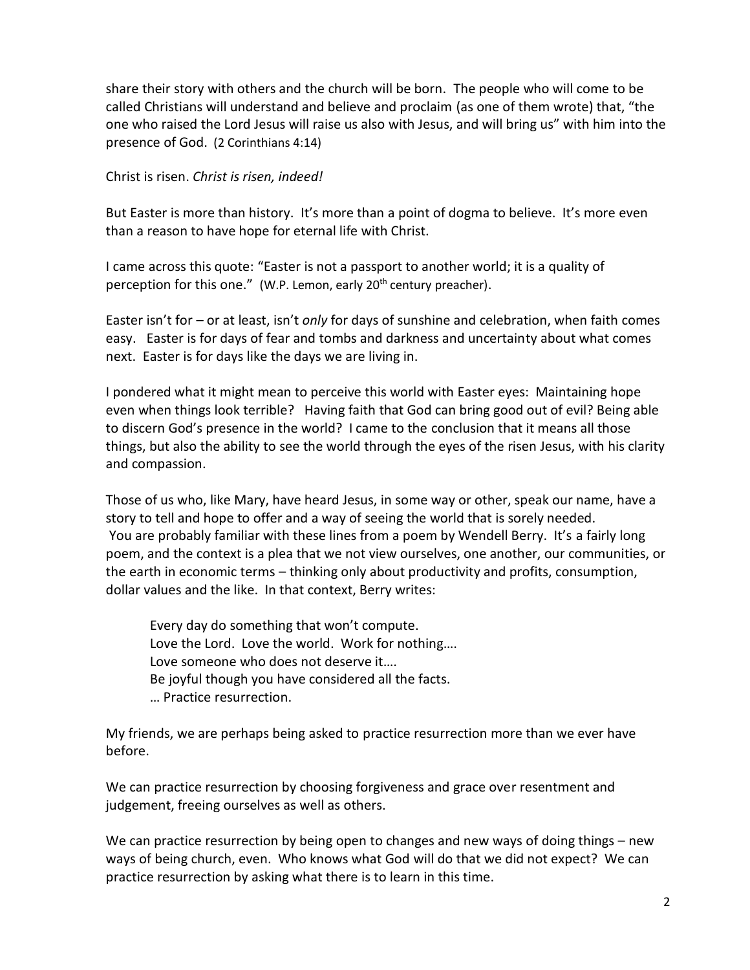share their story with others and the church will be born. The people who will come to be called Christians will understand and believe and proclaim (as one of them wrote) that, "the one who raised the Lord Jesus will raise us also with Jesus, and will bring us" with him into the presence of God. (2 Corinthians 4:14)

Christ is risen. *Christ is risen, indeed!*

But Easter is more than history. It's more than a point of dogma to believe. It's more even than a reason to have hope for eternal life with Christ.

I came across this quote: "Easter is not a passport to another world; it is a quality of perception for this one." (W.P. Lemon, early 20<sup>th</sup> century preacher).

Easter isn't for – or at least, isn't *only* for days of sunshine and celebration, when faith comes easy. Easter is for days of fear and tombs and darkness and uncertainty about what comes next. Easter is for days like the days we are living in.

I pondered what it might mean to perceive this world with Easter eyes: Maintaining hope even when things look terrible? Having faith that God can bring good out of evil? Being able to discern God's presence in the world? I came to the conclusion that it means all those things, but also the ability to see the world through the eyes of the risen Jesus, with his clarity and compassion.

Those of us who, like Mary, have heard Jesus, in some way or other, speak our name, have a story to tell and hope to offer and a way of seeing the world that is sorely needed. You are probably familiar with these lines from a poem by Wendell Berry. It's a fairly long poem, and the context is a plea that we not view ourselves, one another, our communities, or the earth in economic terms – thinking only about productivity and profits, consumption, dollar values and the like. In that context, Berry writes:

Every day do something that won't compute. Love the Lord. Love the world. Work for nothing…. Love someone who does not deserve it…. Be joyful though you have considered all the facts. … Practice resurrection.

My friends, we are perhaps being asked to practice resurrection more than we ever have before.

We can practice resurrection by choosing forgiveness and grace over resentment and judgement, freeing ourselves as well as others.

We can practice resurrection by being open to changes and new ways of doing things – new ways of being church, even. Who knows what God will do that we did not expect? We can practice resurrection by asking what there is to learn in this time.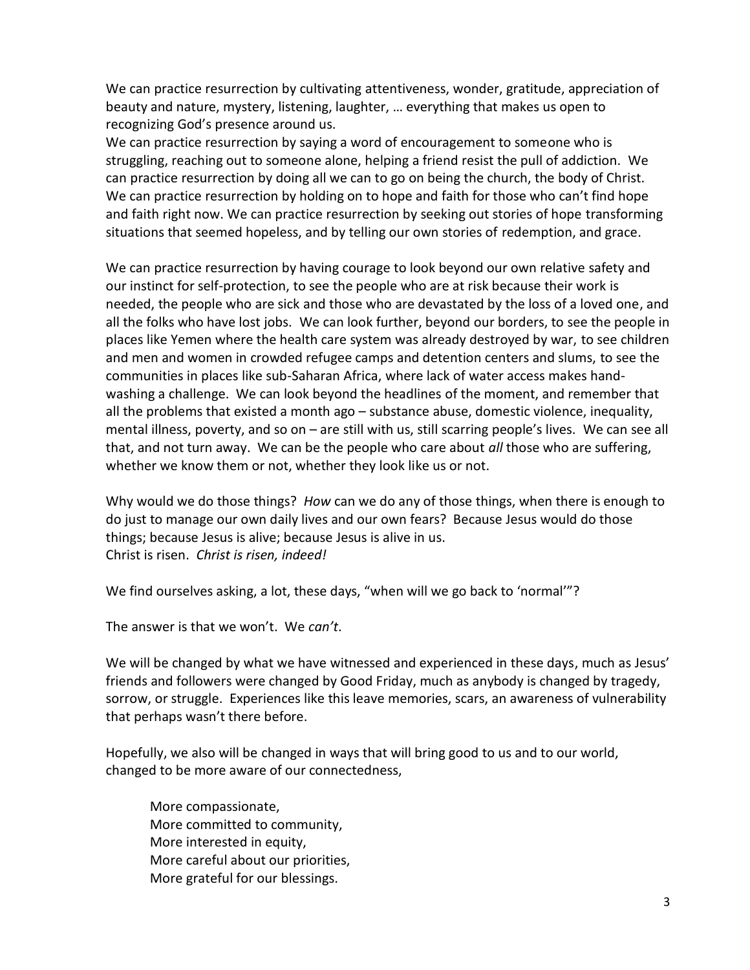We can practice resurrection by cultivating attentiveness, wonder, gratitude, appreciation of beauty and nature, mystery, listening, laughter, … everything that makes us open to recognizing God's presence around us.

We can practice resurrection by saying a word of encouragement to someone who is struggling, reaching out to someone alone, helping a friend resist the pull of addiction. We can practice resurrection by doing all we can to go on being the church, the body of Christ. We can practice resurrection by holding on to hope and faith for those who can't find hope and faith right now. We can practice resurrection by seeking out stories of hope transforming situations that seemed hopeless, and by telling our own stories of redemption, and grace.

We can practice resurrection by having courage to look beyond our own relative safety and our instinct for self-protection, to see the people who are at risk because their work is needed, the people who are sick and those who are devastated by the loss of a loved one, and all the folks who have lost jobs. We can look further, beyond our borders, to see the people in places like Yemen where the health care system was already destroyed by war, to see children and men and women in crowded refugee camps and detention centers and slums, to see the communities in places like sub-Saharan Africa, where lack of water access makes handwashing a challenge. We can look beyond the headlines of the moment, and remember that all the problems that existed a month ago – substance abuse, domestic violence, inequality, mental illness, poverty, and so on – are still with us, still scarring people's lives. We can see all that, and not turn away. We can be the people who care about *all* those who are suffering, whether we know them or not, whether they look like us or not.

Why would we do those things? *How* can we do any of those things, when there is enough to do just to manage our own daily lives and our own fears? Because Jesus would do those things; because Jesus is alive; because Jesus is alive in us. Christ is risen. *Christ is risen, indeed!*

We find ourselves asking, a lot, these days, "when will we go back to 'normal'"?

The answer is that we won't. We *can't*.

We will be changed by what we have witnessed and experienced in these days, much as Jesus' friends and followers were changed by Good Friday, much as anybody is changed by tragedy, sorrow, or struggle. Experiences like this leave memories, scars, an awareness of vulnerability that perhaps wasn't there before.

Hopefully, we also will be changed in ways that will bring good to us and to our world, changed to be more aware of our connectedness,

More compassionate, More committed to community, More interested in equity, More careful about our priorities, More grateful for our blessings.